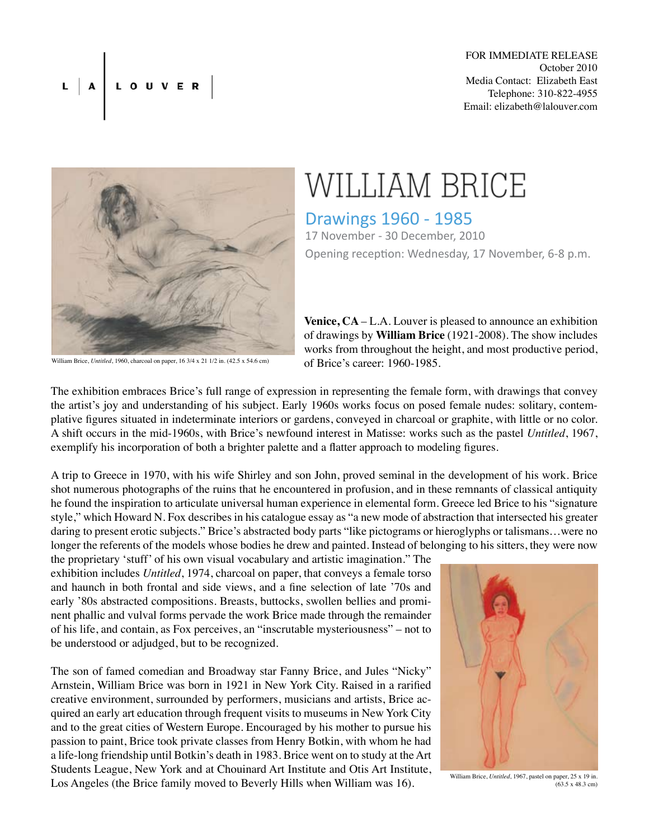## L A LOUVER



## WILLIAM BRICE

Drawings 1960 - 1985 17 November - 30 December, 2010 Opening reception: Wednesday, 17 November, 6-8 p.m.

**Venice, CA** – L.A. Louver is pleased to announce an exhibition of drawings by **William Brice** (1921-2008). The show includes works from throughout the height, and most productive period, of Brice's career: 1960-1985.

William Brice, *Untitled*, 1960, charcoal on paper, 16 3/4 x 21 1/2 in. (42.5 x 54.6 cm)

The exhibition embraces Brice's full range of expression in representing the female form, with drawings that convey the artist's joy and understanding of his subject. Early 1960s works focus on posed female nudes: solitary, contemplative figures situated in indeterminate interiors or gardens, conveyed in charcoal or graphite, with little or no color. A shift occurs in the mid-1960s, with Brice's newfound interest in Matisse: works such as the pastel *Untitled*, 1967, exemplify his incorporation of both a brighter palette and a flatter approach to modeling figures.

A trip to Greece in 1970, with his wife Shirley and son John, proved seminal in the development of his work. Brice shot numerous photographs of the ruins that he encountered in profusion, and in these remnants of classical antiquity he found the inspiration to articulate universal human experience in elemental form. Greece led Brice to his "signature style," which Howard N. Fox describes in his catalogue essay as "a new mode of abstraction that intersected his greater daring to present erotic subjects." Brice's abstracted body parts "like pictograms or hieroglyphs or talismans…were no longer the referents of the models whose bodies he drew and painted. Instead of belonging to his sitters, they were now the proprietary 'stuff' of his own visual vocabulary and artistic imagination." The

exhibition includes *Untitled*, 1974, charcoal on paper, that conveys a female torso and haunch in both frontal and side views, and a fine selection of late '70s and early '80s abstracted compositions. Breasts, buttocks, swollen bellies and prominent phallic and vulval forms pervade the work Brice made through the remainder of his life, and contain, as Fox perceives, an "inscrutable mysteriousness" – not to be understood or adjudged, but to be recognized.

The son of famed comedian and Broadway star Fanny Brice, and Jules "Nicky" Arnstein, William Brice was born in 1921 in New York City. Raised in a rarified creative environment, surrounded by performers, musicians and artists, Brice acquired an early art education through frequent visits to museums in New York City and to the great cities of Western Europe. Encouraged by his mother to pursue his passion to paint, Brice took private classes from Henry Botkin, with whom he had a life-long friendship until Botkin's death in 1983. Brice went on to study at the Art Students League, New York and at Chouinard Art Institute and Otis Art Institute, Los Angeles (the Brice family moved to Beverly Hills when William was 16).



William Brice, *Untitled*, 1967, pastel on paper, 25 x 19 in.  $(63.5 \times 48.3 \text{ cm})$